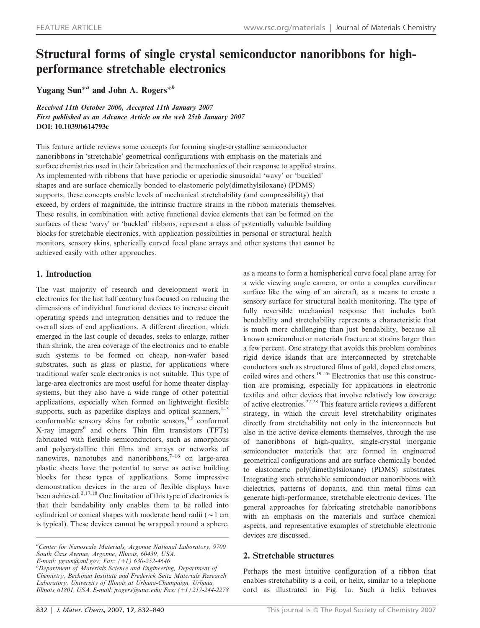# Structural forms of single crystal semiconductor nanoribbons for highperformance stretchable electronics

Yugang Sun<sup>\*a</sup> and John A. Rogers<sup>\*b</sup>

Received 11th October 2006, Accepted 11th January 2007 First published as an Advance Article on the web 25th January 2007 DOI: 10.1039/b614793c

This feature article reviews some concepts for forming single-crystalline semiconductor nanoribbons in 'stretchable' geometrical configurations with emphasis on the materials and surface chemistries used in their fabrication and the mechanics of their response to applied strains. As implemented with ribbons that have periodic or aperiodic sinusoidal 'wavy' or 'buckled' shapes and are surface chemically bonded to elastomeric poly(dimethylsiloxane) (PDMS) supports, these concepts enable levels of mechanical stretchability (and compressibility) that exceed, by orders of magnitude, the intrinsic fracture strains in the ribbon materials themselves. These results, in combination with active functional device elements that can be formed on the surfaces of these 'wavy' or 'buckled' ribbons, represent a class of potentially valuable building blocks for stretchable electronics, with application possibilities in personal or structural health monitors, sensory skins, spherically curved focal plane arrays and other systems that cannot be achieved easily with other approaches.

## 1. Introduction

The vast majority of research and development work in electronics for the last half century has focused on reducing the dimensions of individual functional devices to increase circuit operating speeds and integration densities and to reduce the overall sizes of end applications. A different direction, which emerged in the last couple of decades, seeks to enlarge, rather than shrink, the area coverage of the electronics and to enable such systems to be formed on cheap, non-wafer based substrates, such as glass or plastic, for applications where traditional wafer scale electronics is not suitable. This type of large-area electronics are most useful for home theater display systems, but they also have a wide range of other potential applications, especially when formed on lightweight flexible supports, such as paperlike displays and optical scanners, $1-3$ conformable sensory skins for robotic sensors, $4,5$  conformal  $X$ -ray imagers<sup>6</sup> and others. Thin film transistors (TFTs) fabricated with flexible semiconductors, such as amorphous and polycrystalline thin films and arrays or networks of nanowires, nanotubes and nanoribbons, $7^{-16}$  on large-area plastic sheets have the potential to serve as active building blocks for these types of applications. Some impressive demonstration devices in the area of flexible displays have been achieved.<sup>2,17,18</sup> One limitation of this type of electronics is that their bendability only enables them to be rolled into cylindrical or conical shapes with moderate bend radii ( $\sim$ 1 cm is typical). These devices cannot be wrapped around a sphere,

<sup>b</sup>Department of Materials Science and Engineering, Department of

as a means to form a hemispherical curve focal plane array for a wide viewing angle camera, or onto a complex curvilinear surface like the wing of an aircraft, as a means to create a sensory surface for structural health monitoring. The type of fully reversible mechanical response that includes both bendability and stretchability represents a characteristic that is much more challenging than just bendability, because all known semiconductor materials fracture at strains larger than a few percent. One strategy that avoids this problem combines rigid device islands that are interconnected by stretchable conductors such as structured films of gold, doped elastomers, coiled wires and others.<sup>19–26</sup> Electronics that use this construction are promising, especially for applications in electronic textiles and other devices that involve relatively low coverage of active electronics.27,28 This feature article reviews a different strategy, in which the circuit level stretchability originates directly from stretchability not only in the interconnects but also in the active device elements themselves, through the use of nanoribbons of high-quality, single-crystal inorganic semiconductor materials that are formed in engineered geometrical configurations and are surface chemically bonded to elastomeric poly(dimethylsiloxane) (PDMS) substrates. Integrating such stretchable semiconductor nanoribbons with dielectrics, patterns of dopants, and thin metal films can generate high-performance, stretchable electronic devices. The general approaches for fabricating stretchable nanoribbons with an emphasis on the materials and surface chemical aspects, and representative examples of stretchable electronic devices are discussed.

## 2. Stretchable structures

Perhaps the most intuitive configuration of a ribbon that enables stretchability is a coil, or helix, similar to a telephone cord as illustrated in Fig. 1a. Such a helix behaves

<sup>&</sup>lt;sup>a</sup>Center for Nanoscale Materials, Argonne National Laboratory, 9700 South Cass Avenue, Argonne, Illinois, 60439, USA. E-mail: ygsun@anl.gov; Fax: (+1) 630-252-4646

Chemistry, Beckman Institute and Frederick Seitz Materials Research Laboratory, University of Illinois at Urbana-Champaign, Urbana, Illinois, 61801, USA. E-mail: jrogers@uiuc.edu; Fax: (+1) 217-244-2278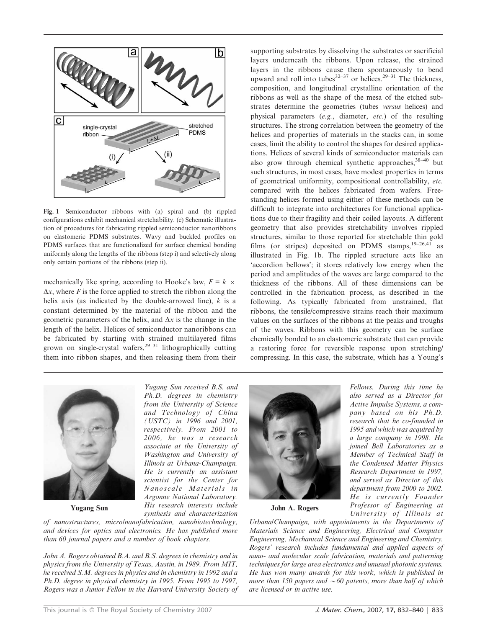

Fig. 1 Semiconductor ribbons with (a) spiral and (b) rippled configurations exhibit mechanical stretchability. (c) Schematic illustration of procedures for fabricating rippled semiconductor nanoribbons on elastomeric PDMS substrates. Wavy and buckled profiles on PDMS surfaces that are functionalized for surface chemical bonding uniformly along the lengths of the ribbons (step i) and selectively along only certain portions of the ribbons (step ii).

mechanically like spring, according to Hooke's law,  $F = k \times$  $\Delta x$ , where F is the force applied to stretch the ribbon along the helix axis (as indicated by the double-arrowed line),  $k$  is a constant determined by the material of the ribbon and the geometric parameters of the helix, and  $\Delta x$  is the change in the length of the helix. Helices of semiconductor nanoribbons can be fabricated by starting with strained multilayered films grown on single-crystal wafers, $2^{9-31}$  lithographically cutting them into ribbon shapes, and then releasing them from their supporting substrates by dissolving the substrates or sacrificial layers underneath the ribbons. Upon release, the strained layers in the ribbons cause them spontaneously to bend upward and roll into tubes<sup>32–37</sup> or helices.<sup>29–31</sup> The thickness, composition, and longitudinal crystalline orientation of the ribbons as well as the shape of the mesa of the etched substrates determine the geometries (tubes versus helices) and physical parameters (e.g., diameter, etc.) of the resulting structures. The strong correlation between the geometry of the helices and properties of materials in the stacks can, in some cases, limit the ability to control the shapes for desired applications. Helices of several kinds of semiconductor materials can also grow through chemical synthetic approaches,  $38-40$  but such structures, in most cases, have modest properties in terms of geometrical uniformity, compositional controllability, etc. compared with the helices fabricated from wafers. Freestanding helices formed using either of these methods can be difficult to integrate into architectures for functional applications due to their fragility and their coiled layouts. A different geometry that also provides stretchability involves rippled structures, similar to those reported for stretchable thin gold films (or stripes) deposited on PDMS stamps,  $19-26,41$  as illustrated in Fig. 1b. The rippled structure acts like an 'accordion bellows'; it stores relatively low energy when the period and amplitudes of the waves are large compared to the thickness of the ribbons. All of these dimensions can be controlled in the fabrication process, as described in the following. As typically fabricated from unstrained, flat ribbons, the tensile/compressive strains reach their maximum values on the surfaces of the ribbons at the peaks and troughs of the waves. Ribbons with this geometry can be surface chemically bonded to an elastomeric substrate that can provide a restoring force for reversible response upon stretching/ compressing. In this case, the substrate, which has a Young's



Yugang Sun received B.S. and Ph.D. degrees in chemistry from the University of Science and Technology of China (USTC) in 1996 and 2001, respectively. From 2001 to 2006, he was a research associate at the University of Washington and University of Illinois at Urbana-Champaign. He is currently an assistant scientist for the Center for Nanoscale Materials in Argonne National Laboratory. His research interests include Yugang Sun John A. Rogers synthesis and characterization

of nanostructures, micro/nanofabrication, nanobiotechnology, and devices for optics and electronics. He has published more than 60 journal papers and a number of book chapters.

John A. Rogers obtained B.A. and B.S. degrees in chemistry and in physics from the University of Texas, Austin, in 1989. From MIT, he received S.M. degrees in physics and in chemistry in 1992 and a Ph.D. degree in physical chemistry in 1995. From 1995 to 1997, Rogers was a Junior Fellow in the Harvard University Society of



Fellows. During this time he also served as a Director for Active Impulse Systems, a company based on his Ph.D. research that he co-founded in 1995 and which was acquired by a large company in 1998. He joined Bell Laboratories as a Member of Technical Staff in the Condensed Matter Physics Research Department in 1997, and served as Director of this department from 2000 to 2002. He is currently Founder Professor of Engineering at University of Illinois at

Urbana/Champaign, with appointments in the Departments of Materials Science and Engineering, Electrical and Computer Engineering, Mechanical Science and Engineering and Chemistry. Rogers' research includes fundamental and applied aspects of nano- and molecular scale fabrication, materials and patterning techniques for large area electronics and unusual photonic systems. He has won many awards for this work, which is published in more than 150 papers and  $\sim 60$  patents, more than half of which are licensed or in active use.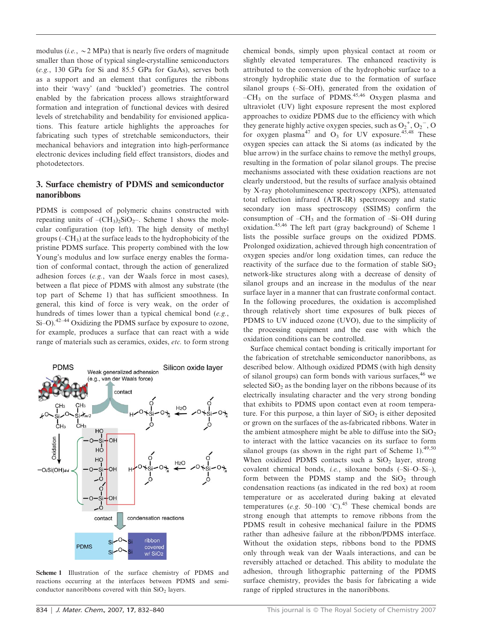modulus (*i.e.*,  $\sim$  2 MPa) that is nearly five orders of magnitude smaller than those of typical single-crystalline semiconductors (e.g., 130 GPa for Si and 85.5 GPa for GaAs), serves both as a support and an element that configures the ribbons into their 'wavy' (and 'buckled') geometries. The control enabled by the fabrication process allows straightforward formation and integration of functional devices with desired levels of stretchability and bendability for envisioned applications. This feature article highlights the approaches for fabricating such types of stretchable semiconductors, their mechanical behaviors and integration into high-performance electronic devices including field effect transistors, diodes and photodetectors.

## 3. Surface chemistry of PDMS and semiconductor nanoribbons

PDMS is composed of polymeric chains constructed with repeating units of  $-(CH_3)_2SiO_2$ . Scheme 1 shows the molecular configuration (top left). The high density of methyl groups  $(-CH_3)$  at the surface leads to the hydrophobicity of the pristine PDMS surface. This property combined with the low Young's modulus and low surface energy enables the formation of conformal contact, through the action of generalized adhesion forces (e.g., van der Waals force in most cases), between a flat piece of PDMS with almost any substrate (the top part of Scheme 1) that has sufficient smoothness. In general, this kind of force is very weak, on the order of hundreds of times lower than a typical chemical bond (e.g., Si–O).<sup>42–44</sup> Oxidizing the PDMS surface by exposure to ozone, for example, produces a surface that can react with a wide range of materials such as ceramics, oxides, etc. to form strong



Scheme 1 Illustration of the surface chemistry of PDMS and reactions occurring at the interfaces between PDMS and semiconductor nanoribbons covered with thin  $SiO<sub>2</sub>$  layers.

chemical bonds, simply upon physical contact at room or slightly elevated temperatures. The enhanced reactivity is attributed to the conversion of the hydrophobic surface to a strongly hydrophilic state due to the formation of surface silanol groups (–Si–OH), generated from the oxidation of  $-CH_3$  on the surface of PDMS.<sup>45,46</sup> Oxygen plasma and ultraviolet (UV) light exposure represent the most explored approaches to oxidize PDMS due to the efficiency with which they generate highly active oxygen species, such as  $O_2^+, O_2^-, O_2^$ for oxygen plasma<sup>47</sup> and  $O_3$  for UV exposure.<sup>45,48</sup> These oxygen species can attack the Si atoms (as indicated by the blue arrow) in the surface chains to remove the methyl groups, resulting in the formation of polar silanol groups. The precise mechanisms associated with these oxidation reactions are not clearly understood, but the results of surface analysis obtained by X-ray photoluminescence spectroscopy (XPS), attenuated total reflection infrared (ATR-IR) spectroscopy and static secondary ion mass spectroscopy (SSIMS) confirm the consumption of  $-CH_3$  and the formation of  $-Si-OH$  during oxidation.45,46 The left part (gray background) of Scheme 1 lists the possible surface groups on the oxidized PDMS. Prolonged oxidization, achieved through high concentration of oxygen species and/or long oxidation times, can reduce the reactivity of the surface due to the formation of stable  $SiO<sub>2</sub>$ network-like structures along with a decrease of density of silanol groups and an increase in the modulus of the near surface layer in a manner that can frustrate conformal contact. In the following procedures, the oxidation is accomplished through relatively short time exposures of bulk pieces of PDMS to UV induced ozone (UVO), due to the simplicity of the processing equipment and the ease with which the oxidation conditions can be controlled.

Surface chemical contact bonding is critically important for the fabrication of stretchable semiconductor nanoribbons, as described below. Although oxidized PDMS (with high density of silanol groups) can form bonds with various surfaces,  $46$  we selected  $SiO<sub>2</sub>$  as the bonding layer on the ribbons because of its electrically insulating character and the very strong bonding that exhibits to PDMS upon contact even at room temperature. For this purpose, a thin layer of  $SiO<sub>2</sub>$  is either deposited or grown on the surfaces of the as-fabricated ribbons. Water in the ambient atmosphere might be able to diffuse into the  $SiO<sub>2</sub>$ to interact with the lattice vacancies on its surface to form silanol groups (as shown in the right part of Scheme 1). $49,50$ When oxidized PDMS contacts such a  $SiO<sub>2</sub>$  layer, strong covalent chemical bonds, i.e., siloxane bonds (–Si–O–Si–), form between the PDMS stamp and the  $SiO<sub>2</sub>$  through condensation reactions (as indicated in the red box) at room temperature or as accelerated during baking at elevated temperatures (e.g. 50–100 °C).<sup>45</sup> These chemical bonds are strong enough that attempts to remove ribbons from the PDMS result in cohesive mechanical failure in the PDMS rather than adhesive failure at the ribbon/PDMS interface. Without the oxidation steps, ribbons bond to the PDMS only through weak van der Waals interactions, and can be reversibly attached or detached. This ability to modulate the adhesion, through lithographic patterning of the PDMS surface chemistry, provides the basis for fabricating a wide range of rippled structures in the nanoribbons.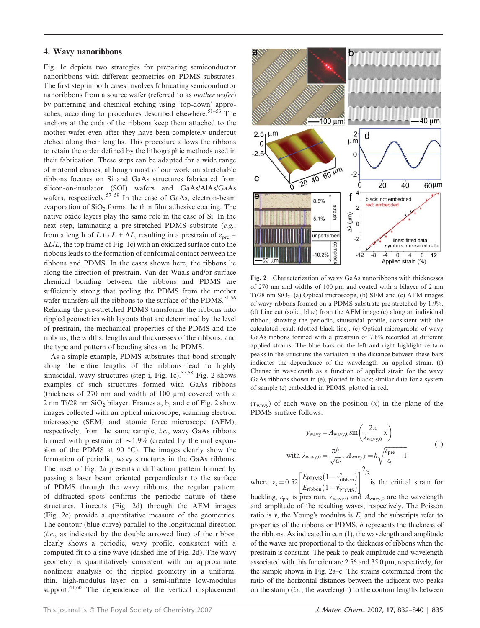#### 4. Wavy nanoribbons

Fig. 1c depicts two strategies for preparing semiconductor nanoribbons with different geometries on PDMS substrates. The first step in both cases involves fabricating semiconductor nanoribbons from a source wafer (referred to as mother wafer) by patterning and chemical etching using 'top-down' approaches, according to procedures described elsewhere.<sup>51–56</sup> The anchors at the ends of the ribbons keep them attached to the mother wafer even after they have been completely undercut etched along their lengths. This procedure allows the ribbons to retain the order defined by the lithographic methods used in their fabrication. These steps can be adapted for a wide range of material classes, although most of our work on stretchable ribbons focuses on Si and GaAs structures fabricated from silicon-on-insulator (SOI) wafers and GaAs/AlAs/GaAs wafers, respectively.<sup>57–59</sup> In the case of GaAs, electron-beam evaporation of  $SiO<sub>2</sub>$  forms the thin film adhesive coating. The native oxide layers play the same role in the case of Si. In the next step, laminating a pre-stretched PDMS substrate (e.g., from a length of L to  $L + \Delta L$ , resulting in a prestrain of  $\varepsilon_{pre}$  =  $\Delta L/L$ , the top frame of Fig. 1c) with an oxidized surface onto the ribbons leads to the formation of conformal contact between the ribbons and PDMS. In the cases shown here, the ribbons lie along the direction of prestrain. Van der Waals and/or surface chemical bonding between the ribbons and PDMS are sufficiently strong that peeling the PDMS from the mother wafer transfers all the ribbons to the surface of the PDMS.<sup>51,56</sup> Relaxing the pre-stretched PDMS transforms the ribbons into rippled geometries with layouts that are determined by the level of prestrain, the mechanical properties of the PDMS and the ribbons, the widths, lengths and thicknesses of the ribbons, and the type and pattern of bonding sites on the PDMS.

As a simple example, PDMS substrates that bond strongly along the entire lengths of the ribbons lead to highly sinusoidal, wavy structures (step i, Fig. 1c). $57,58$  Fig. 2 shows examples of such structures formed with GaAs ribbons (thickness of  $270 \text{ nm}$  and width of  $100 \text{ µm}$ ) covered with a  $2 \text{ nm Ti}/28 \text{ nm SiO}_2$  bilayer. Frames a, b, and c of Fig. 2 show images collected with an optical microscope, scanning electron microscope (SEM) and atomic force microscope (AFM), respectively, from the same sample, i.e., wavy GaAs ribbons formed with prestrain of  $\sim$  1.9% (created by thermal expansion of the PDMS at 90  $^{\circ}$ C). The images clearly show the formation of periodic, wavy structures in the GaAs ribbons. The inset of Fig. 2a presents a diffraction pattern formed by passing a laser beam oriented perpendicular to the surface of PDMS through the wavy ribbons; the regular pattern of diffracted spots confirms the periodic nature of these structures. Linecuts (Fig. 2d) through the AFM images (Fig. 2c) provide a quantitative measure of the geometries. The contour (blue curve) parallel to the longitudinal direction  $(i.e.,$  as indicated by the double arrowed line) of the ribbon clearly shows a periodic, wavy profile, consistent with a computed fit to a sine wave (dashed line of Fig. 2d). The wavy geometry is quantitatively consistent with an approximate nonlinear analysis of the rippled geometry in a uniform, thin, high-modulus layer on a semi-infinite low-modulus support. $41,60$  The dependence of the vertical displacement



Fig. 2 Characterization of wavy GaAs nanoribbons with thicknesses of 270 nm and widths of 100 µm and coated with a bilayer of 2 nm  $Ti/28$  nm  $SiO<sub>2</sub>$ . (a) Optical microscope, (b) SEM and (c) AFM images of wavy ribbons formed on a PDMS substrate pre-stretched by 1.9%. (d) Line cut (solid, blue) from the AFM image (c) along an individual ribbon, showing the periodic, sinusoidal profile, consistent with the calculated result (dotted black line). (e) Optical micrographs of wavy GaAs ribbons formed with a prestrain of 7.8% recorded at different applied strains. The blue bars on the left and right highlight certain peaks in the structure; the variation in the distance between these bars indicates the dependence of the wavelength on applied strain. (f) Change in wavelength as a function of applied strain for the wavy GaAs ribbons shown in (e), plotted in black; similar data for a system of sample (e) embedded in PDMS, plotted in red.

 $(y_{\text{wav}})$  of each wave on the position  $(x)$  in the plane of the PDMS surface follows:

$$
y_{\text{way}} = A_{\text{way},0} \sin\left(\frac{2\pi}{\lambda_{\text{way},0}} x\right)
$$
  
with  $\lambda_{\text{way},0} = \frac{\pi h}{\sqrt{\varepsilon_{\text{c}}}}, A_{\text{way},0} = h \sqrt{\frac{\varepsilon_{\text{pre}}}{\varepsilon_{\text{c}}}} - 1$  (1)

where  $\varepsilon_c = 0.52 \left[ \frac{E_{\text{PDMS}} \left( 1 - v_{\text{ribbon}}^2 \right)}{E_{\text{PDMS}} \left( 1 - v_{\text{ribbon}}^2 \right)} \right]$  $\left[ \frac{E_{\rm PDMS} \left( 1 - v_{\rm ribbon}^2 \right)}{E_{\rm ribbon} \left( 1 - v_{\rm PDMS}^2 \right)} \right]^{2/3}$ is the critical strain for

buckling,  $\varepsilon_{\text{pre}}$  is prestrain,  $\lambda_{\text{wavy,0}}$  and  $A_{\text{wavy,0}}$  are the wavelength and amplitude of the resulting waves, respectively. The Poisson ratio is  $v$ , the Young's modulus is  $E$ , and the subscripts refer to properties of the ribbons or PDMS. h represents the thickness of the ribbons. As indicated in eqn (1), the wavelength and amplitude of the waves are proportional to the thickness of ribbons when the prestrain is constant. The peak-to-peak amplitude and wavelength associated with this function are 2.56 and 35.0 µm, respectively, for the sample shown in Fig. 2a–c. The strains determined from the ratio of the horizontal distances between the adjacent two peaks on the stamp  $(i.e.,$  the wavelength) to the contour lengths between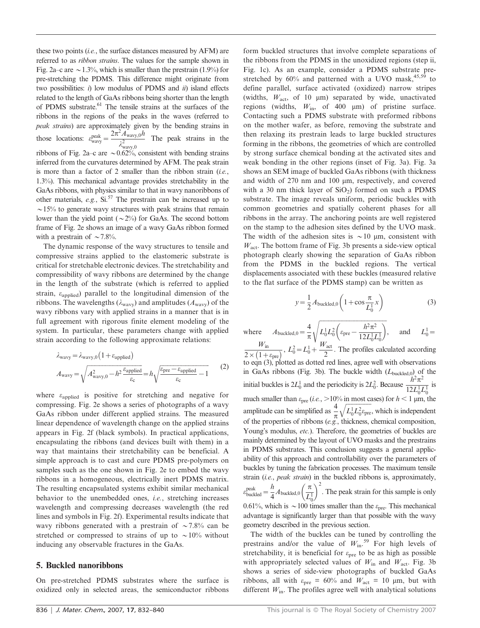these two points  $(i.e.,$  the surface distances measured by AFM) are referred to as ribbon strains. The values for the sample shown in Fig. 2a–c are  $\sim$  1.3%, which is smaller than the prestrain (1.9%) for pre-stretching the PDMS. This difference might originate from two possibilities:  $i$ ) low modulus of PDMS and  $ii$ ) island effects related to the length of GaAs ribbons being shorter than the length of PDMS substrate.61 The tensile strains at the surfaces of the ribbons in the regions of the peaks in the waves (referred to peak strains) are approximately given by the bending strains in those locations:  $\varepsilon_{\text{way}}^{\text{peak}} = \frac{2\pi^2 A_{\text{way},0}h}{\lambda^2}$  $\lambda_{\text{way,0}}^2$ The peak strains in the ribbons of Fig. 2a–c are  $\sim 0.62\%$ , consistent with bending strains inferred from the curvatures determined by AFM. The peak strain is more than a factor of 2 smaller than the ribbon strain  $(i.e.,$ 1.3%). This mechanical advantage provides stretchability in the GaAs ribbons, with physics similar to that in wavy nanoribbons of other materials, e.g., Si.57 The prestrain can be increased up to  $\sim$ 15% to generate wavy structures with peak strains that remain lower than the yield point ( $\sim$ 2%) for GaAs. The second bottom frame of Fig. 2e shows an image of a wavy GaAs ribbon formed with a prestrain of  $\sim 7.8\%$ .

The dynamic response of the wavy structures to tensile and compressive strains applied to the elastomeric substrate is critical for stretchable electronic devices. The stretchability and compressibility of wavy ribbons are determined by the change in the length of the substrate (which is referred to applied strain,  $\varepsilon_{\text{applied}}$ ) parallel to the longitudinal dimension of the ribbons. The wavelengths ( $\lambda_{\rm wavy}$ ) and amplitudes ( $A_{\rm wavy}$ ) of the wavy ribbons vary with applied strains in a manner that is in full agreement with rigorous finite element modeling of the system. In particular, these parameters change with applied strain according to the following approximate relations:

$$
\lambda_{\text{way}} = \lambda_{\text{way},0} \left( 1 + \varepsilon_{\text{applied}} \right)
$$
  

$$
A_{\text{wayy}} = \sqrt{A_{\text{way},0}^2 - h^2 \frac{\varepsilon_{\text{applied}}}{\varepsilon_{\text{c}}}} = h \sqrt{\frac{\varepsilon_{\text{pre}} - \varepsilon_{\text{applied}}}{\varepsilon_{\text{c}}}} - 1
$$
 (2)

where  $\varepsilon_{\text{applied}}$  is positive for stretching and negative for compressing. Fig. 2e shows a series of photographs of a wavy GaAs ribbon under different applied strains. The measured linear dependence of wavelength change on the applied strains appears in Fig. 2f (black symbols). In practical applications, encapsulating the ribbons (and devices built with them) in a way that maintains their stretchability can be beneficial. A simple approach is to cast and cure PDMS pre-polymers on samples such as the one shown in Fig. 2e to embed the wavy ribbons in a homogeneous, electrically inert PDMS matrix. The resulting encapsulated systems exhibit similar mechanical behavior to the unembedded ones, *i.e.*, stretching increases wavelength and compressing decreases wavelength (the red lines and symbols in Fig. 2f). Experimental results indicate that wavy ribbons generated with a prestrain of  $\sim 7.8\%$  can be stretched or compressed to strains of up to  $\sim 10\%$  without inducing any observable fractures in the GaAs.

### 5. Buckled nanoribbons

On pre-stretched PDMS substrates where the surface is oxidized only in selected areas, the semiconductor ribbons form buckled structures that involve complete separations of the ribbons from the PDMS in the unoxidized regions (step ii, Fig. 1c). As an example, consider a PDMS substrate prestretched by  $60\%$  and patterned with a UVO mask, $45,59$  to define parallel, surface activated (oxidized) narrow stripes (widths,  $W_{\text{act}}$ , of 10  $\mu$ m) separated by wide, unactivated regions (widths,  $W_{\text{in}}$ , of 400  $\mu$ m) of pristine surface. Contacting such a PDMS substrate with preformed ribbons on the mother wafer, as before, removing the substrate and then relaxing its prestrain leads to large buckled structures forming in the ribbons, the geometries of which are controlled by strong surface chemical bonding at the activated sites and weak bonding in the other regions (inset of Fig. 3a). Fig. 3a shows an SEM image of buckled GaAs ribbons (with thickness and width of 270 nm and 100 µm, respectively, and covered with a 30 nm thick layer of  $SiO<sub>2</sub>$ ) formed on such a PDMS substrate. The image reveals uniform, periodic buckles with common geometries and spatially coherent phases for all ribbons in the array. The anchoring points are well registered on the stamp to the adhesion sites defined by the UVO mask. The width of the adhesion sites is  $\sim$ 10 µm, consistent with  $W_{\text{act}}$ . The bottom frame of Fig. 3b presents a side-view optical photograph clearly showing the separation of GaAs ribbon from the PDMS in the buckled regions. The vertical displacements associated with these buckles (measured relative to the flat surface of the PDMS stamp) can be written as

$$
y = \frac{1}{2} A_{\text{bucket},0} \left( 1 + \cos \frac{\pi}{L_0^1} x \right) \tag{3}
$$

where  $A_{\text{bucket},0} = \frac{4}{\pi}$ ffiffiffiffiffiffiffiffiffiffiffiffiffiffiffiffiffiffiffiffiffiffiffiffiffiffiffiffiffiffiffiffiffiffiffiffiffiffiffiffiffiffiffiffiffi  $L_0^1 L_0^2 \bigg( \varepsilon_{\rm pre} - \frac{h^2 \pi^2}{12 L_0^1 L_0^1}$  $\frac{W_{\text{in}}}{2 \times (1 + \varepsilon_{\text{pre}})}$ ,  $L_0^2 = L_0^1 + \frac{W_{\text{act}}}{2}$ . The profiles calculated according  $\sqrt{h^2 \pi^2}$ , and  $L_0^1 =$ to eqn (3), plotted as dotted red lines, agree well with observations in GaAs ribbons (Fig. 3b). The buckle width  $(L_{\text{bucket},0})$  of the initial buckles is  $2L_0^1$  and the periodicity is  $2L_0^2$ . Because  $\frac{h^2 \pi^2}{12L_0^1 L_0^1}$ is much smaller than  $\varepsilon_{\text{pre}}$  (i.e.,  $>10\%$  in most cases) for  $h < 1$  µm, the amplitude can be simplified as  $\frac{4}{\pi} \sqrt{L_0^1 L_0^2 \epsilon_{\text{pre}}}$ , which is independent of the properties of ribbons (e.g., thickness, chemical composition, Young's modulus, etc.). Therefore, the geometries of buckles are mainly determined by the layout of UVO masks and the prestrains in PDMS substrates. This conclusion suggests a general applicability of this approach and controllability over the parameters of buckles by tuning the fabrication processes. The maximum tensile strain (i.e., peak strain) in the buckled ribbons is, approximately,  $\varepsilon_{\text{bucket}}^{\text{peak}} = \frac{h}{4} A_{\text{bucket},0} \left( \frac{\pi}{L_0} \right)$  $L^1_0$  $\sqrt{\pi}$   $\sqrt{2}$ . The peak strain for this sample is only 0.61%, which is  $\sim$  100 times smaller than the  $\varepsilon_{\text{pre}}$ . This mechanical advantage is significantly larger than that possible with the wavy geometry described in the previous section. The width of the buckles can be tuned by controlling the

prestrains and/or the value of  $W_{\text{in}}^{59}$ . For high levels of stretchability, it is beneficial for  $\varepsilon_{pre}$  to be as high as possible with appropriately selected values of  $W_{\text{in}}$  and  $W_{\text{act}}$ . Fig. 3b shows a series of side-view photographs of buckled GaAs ribbons, all with  $\varepsilon_{pre} = 60\%$  and  $W_{act} = 10 \mu m$ , but with different  $W_{\text{in}}$ . The profiles agree well with analytical solutions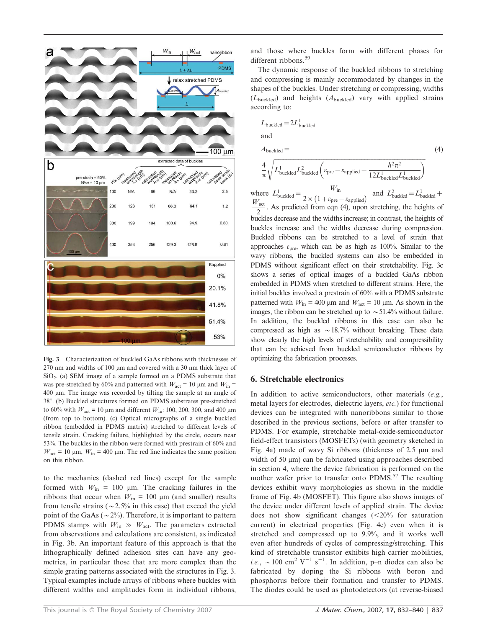

Fig. 3 Characterization of buckled GaAs ribbons with thicknesses of  $270$  nm and widths of  $100 \mu m$  and covered with a  $30 \mu m$  thick layer of  $SiO<sub>2</sub>$ . (a) SEM image of a sample formed on a PDMS substrate that was pre-stretched by 60% and patterned with  $W_{\text{act}} = 10 \mu \text{m}$  and  $W_{\text{in}} =$ 400 mm. The image was recorded by tilting the sample at an angle of 38°. (b) Buckled structures formed on PDMS substrates pre-stretched to 60% with  $W_{\text{act}} = 10 \,\mu\text{m}$  and different  $W_{\text{in}}$ : 100, 200, 300, and 400  $\mu\text{m}$ (from top to bottom). (c) Optical micrographs of a single buckled ribbon (embedded in PDMS matrix) stretched to different levels of tensile strain. Cracking failure, highlighted by the circle, occurs near 53%. The buckles in the ribbon were formed with prestrain of 60% and  $W_{\text{act}} = 10 \text{ µm}, W_{\text{in}} = 400 \text{ µm}.$  The red line indicates the same position on this ribbon.

to the mechanics (dashed red lines) except for the sample formed with  $W_{\text{in}} = 100 \mu \text{m}$ . The cracking failures in the ribbons that occur when  $W_{\text{in}} = 100 \mu \text{m}$  (and smaller) results from tensile strains ( $\sim$  2.5% in this case) that exceed the yield point of the GaAs ( $\sim$ 2%). Therefore, it is important to pattern PDMS stamps with  $W_{\text{in}} \gg W_{\text{act}}$ . The parameters extracted from observations and calculations are consistent, as indicated in Fig. 3b. An important feature of this approach is that the lithographically defined adhesion sites can have any geometries, in particular those that are more complex than the simple grating patterns associated with the structures in Fig. 3. Typical examples include arrays of ribbons where buckles with different widths and amplitudes form in individual ribbons, and those where buckles form with different phases for different ribbons.<sup>59</sup>

The dynamic response of the buckled ribbons to stretching and compressing is mainly accommodated by changes in the shapes of the buckles. Under stretching or compressing, widths  $(L_{\text{buckled}})$  and heights  $(A_{\text{buckled}})$  vary with applied strains according to:

$$
L_{\text{bucket}} = 2L_{\text{bucket}}^1
$$
  
and  

$$
A_{\text{bucket}} = (4)
$$

$$
\frac{4}{\pi} \sqrt{L_{\textrm{bucket}}^1 L_{\textrm{bucket}}^2 \left( \epsilon_{\textrm{pre}} - \epsilon_{\textrm{applied}} - \frac{h^2 \pi^2}{12 L_{\textrm{bucket}}^1 L_{\textrm{bucket}}^1} \right)}
$$

where  $L_{\text{bucket}}^1 = \frac{W_{\text{in}}}{2 \times (1 + \varepsilon_{\text{pre}} - \varepsilon_{\text{applied}})}$  and  $L_{\text{bucket}}^2 = L_{\text{bucket}}^1 +$  $\frac{W_{\text{act}}}{2}$ . As predicted from eqn (4), upon stretching, the heights of buckles decrease and the widths increase; in contrast, the heights of buckles increase and the widths decrease during compression. Buckled ribbons can be stretched to a level of strain that approaches  $\varepsilon_{\text{pre}}$ , which can be as high as 100%. Similar to the wavy ribbons, the buckled systems can also be embedded in PDMS without significant effect on their stretchability. Fig. 3c shows a series of optical images of a buckled GaAs ribbon embedded in PDMS when stretched to different strains. Here, the initial buckles involved a prestrain of 60% with a PDMS substrate patterned with  $W_{\text{in}} = 400 \ \mu \text{m}$  and  $W_{\text{act}} = 10 \ \mu \text{m}$ . As shown in the images, the ribbon can be stretched up to  $\sim$  51.4% without failure. In addition, the buckled ribbons in this case can also be compressed as high as  $\sim 18.7\%$  without breaking. These data show clearly the high levels of stretchability and compressibility that can be achieved from buckled semiconductor ribbons by optimizing the fabrication processes.

## 6. Stretchable electronics

In addition to active semiconductors, other materials (e.g., metal layers for electrodes, dielectric layers, etc.) for functional devices can be integrated with nanoribbons similar to those described in the previous sections, before or after transfer to PDMS. For example, stretchable metal-oxide-semiconductor field-effect transistors (MOSFETs) (with geometry sketched in Fig. 4a) made of wavy Si ribbons (thickness of 2.5  $\mu$ m and width of 50 µm) can be fabricated using approaches described in section 4, where the device fabrication is performed on the mother wafer prior to transfer onto PDMS.<sup>57</sup> The resulting devices exhibit wavy morphologies as shown in the middle frame of Fig. 4b (MOSFET). This figure also shows images of the device under different levels of applied strain. The device does not show significant changes  $(<20\%$  for saturation current) in electrical properties (Fig. 4c) even when it is stretched and compressed up to 9.9%, and it works well even after hundreds of cycles of compressing/stretching. This kind of stretchable transistor exhibits high carrier mobilities, *i.e.*,  $\sim$  100 cm<sup>2</sup> V<sup>-1</sup> s<sup>-1</sup>. In addition, p-n diodes can also be fabricated by doping the Si ribbons with boron and phosphorus before their formation and transfer to PDMS. The diodes could be used as photodetectors (at reverse-biased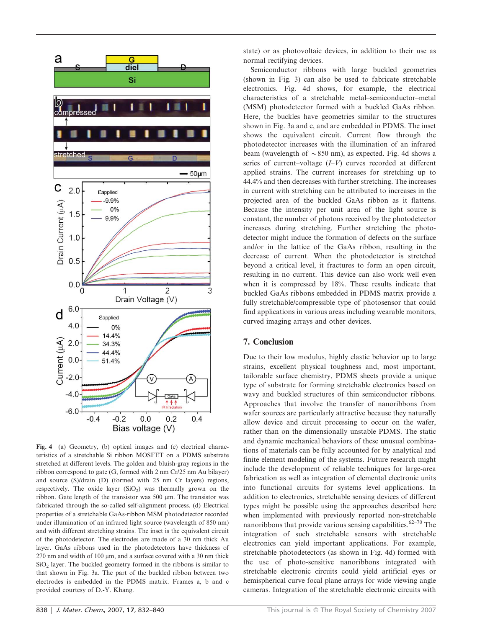

Fig. 4 (a) Geometry, (b) optical images and (c) electrical characteristics of a stretchable Si ribbon MOSFET on a PDMS substrate stretched at different levels. The golden and bluish-gray regions in the ribbon correspond to gate (G, formed with 2 nm Cr/25 nm Au bilayer) and source (S)/drain (D) (formed with 25 nm Cr layers) regions, respectively. The oxide layer  $(SiO<sub>2</sub>)$  was thermally grown on the ribbon. Gate length of the transistor was  $500 \mu m$ . The transistor was fabricated through the so-called self-alignment process. (d) Electrical properties of a stretchable GaAs-ribbon MSM photodetector recorded under illumination of an infrared light source (wavelength of 850 nm) and with different stretching strains. The inset is the equivalent circuit of the photodetector. The electrodes are made of a 30 nm thick Au layer. GaAs ribbons used in the photodetectors have thickness of  $270$  nm and width of  $100 \mu m$ , and a surface covered with a  $30 \mu m$  thick  $SiO<sub>2</sub>$  layer. The buckled geometry formed in the ribbons is similar to that shown in Fig. 3a. The part of the buckled ribbon between two electrodes is embedded in the PDMS matrix. Frames a, b and c provided courtesy of D.-Y. Khang.

state) or as photovoltaic devices, in addition to their use as normal rectifying devices.

Semiconductor ribbons with large buckled geometries (shown in Fig. 3) can also be used to fabricate stretchable electronics. Fig. 4d shows, for example, the electrical characteristics of a stretchable metal–semiconductor–metal (MSM) photodetector formed with a buckled GaAs ribbon. Here, the buckles have geometries similar to the structures shown in Fig. 3a and c, and are embedded in PDMS. The inset shows the equivalent circuit. Current flow through the photodetector increases with the illumination of an infrared beam (wavelength of  $\sim 850$  nm), as expected. Fig. 4d shows a series of current–voltage  $(I-V)$  curves recorded at different applied strains. The current increases for stretching up to 44.4% and then decreases with further stretching. The increases in current with stretching can be attributed to increases in the projected area of the buckled GaAs ribbon as it flattens. Because the intensity per unit area of the light source is constant, the number of photons received by the photodetector increases during stretching. Further stretching the photodetector might induce the formation of defects on the surface and/or in the lattice of the GaAs ribbon, resulting in the decrease of current. When the photodetector is stretched beyond a critical level, it fractures to form an open circuit, resulting in no current. This device can also work well even when it is compressed by 18%. These results indicate that buckled GaAs ribbons embedded in PDMS matrix provide a fully stretchable/compressible type of photosensor that could find applications in various areas including wearable monitors, curved imaging arrays and other devices.

## 7. Conclusion

Due to their low modulus, highly elastic behavior up to large strains, excellent physical toughness and, most important, tailorable surface chemistry, PDMS sheets provide a unique type of substrate for forming stretchable electronics based on wavy and buckled structures of thin semiconductor ribbons. Approaches that involve the transfer of nanoribbons from wafer sources are particularly attractive because they naturally allow device and circuit processing to occur on the wafer, rather than on the dimensionally unstable PDMS. The static and dynamic mechanical behaviors of these unusual combinations of materials can be fully accounted for by analytical and finite element modeling of the systems. Future research might include the development of reliable techniques for large-area fabrication as well as integration of elemental electronic units into functional circuits for systems level applications. In addition to electronics, stretchable sensing devices of different types might be possible using the approaches described here when implemented with previously reported non-stretchable nanoribbons that provide various sensing capabilities. $62-70$  The integration of such stretchable sensors with stretchable electronics can yield important applications. For example, stretchable photodetectors (as shown in Fig. 4d) formed with the use of photo-sensitive nanoribbons integrated with stretchable electronic circuits could yield artificial eyes or hemispherical curve focal plane arrays for wide viewing angle cameras. Integration of the stretchable electronic circuits with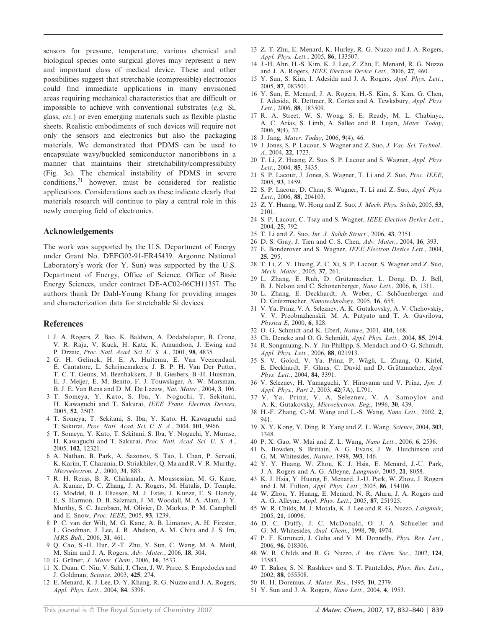sensors for pressure, temperature, various chemical and biological species onto surgical gloves may represent a new and important class of medical device. These and other possibilities suggest that stretchable (compressible) electronics could find immediate applications in many envisioned areas requiring mechanical characteristics that are difficult or impossible to achieve with conventional substrates (e.g. Si, glass, etc.) or even emerging materials such as flexible plastic sheets. Realistic embodiments of such devices will require not only the sensors and electronics but also the packaging materials. We demonstrated that PDMS can be used to encapsulate wavy/buckled semiconductor nanoribbons in a manner that maintains their stretchability/compressibility (Fig. 3c). The chemical instability of PDMS in severe conditions, $^{71}$  however, must be considered for realistic applications. Considerations such as these indicate clearly that materials research will continue to play a central role in this newly emerging field of electronics.

#### Acknowledgements

The work was supported by the U.S. Department of Energy under Grant No. DEFG02-91-ER45439. Argonne National Laboratory's work (for Y. Sun) was supported by the U.S. Department of Energy, Office of Science, Office of Basic Energy Sciences, under contract DE-AC02-06CH11357. The authors thank Dr Dahl-Young Khang for providing images and characterization data for stretchable Si devices.

#### References

- 1 J. A. Rogers, Z. Bao, K. Baldwin, A. Dodabalapur, B. Crone, V. R. Raju, V. Kuck, H. Katz, K. Amundson, J. Ewing and P. Drzaic, Proc. Natl. Acad. Sci. U. S. A., 2001, 98, 4835.
- 2 G. H. Gelinck, H. E. A. Huitema, E. Van Veenendaal, E. Cantatore, L. Schrijnemakers, J. B. P. H. Van Der Putter, T. C. T. Geuns, M. Beenhakkers, J. B. Giesbers, B.-H. Huisman, E. J. Meijer, E. M. Benito, F. J. Touwslager, A. W. Marsman, B. J. E. Van Rens and D. M. De Leeuw, Nat. Mater., 2004, 3, 106.
- 3 T. Someya, Y. Kato, S. Iba, Y. Noguchi, T. Sekitani, H. Kawaguchi and T. Sakurai, IEEE Trans. Electron Devices, 2005, 52, 2502.
- 4 T. Someya, T. Sekitani, S. Iba, Y. Kato, H. Kawaguchi and T. Sakurai, Proc. Natl. Acad. Sci. U. S. A., 2004, 101, 9966.
- 5 T. Someya, Y. Kato, T. Sekitani, S. Iba, Y. Noguchi, Y. Murase, H. Kawaguchi and T. Sakurai, Proc. Natl. Acad. Sci. U. S. A., 2005, 102, 12321.
- 6 A. Nathan, B. Park, A. Sazonov, S. Tao, I. Chan, P. Servati, K. Karim, T. Charania, D. Striakhilev, Q. Ma and R. V. R. Murthy, Microelectron. J., 2000, 31, 883.
- 7 R. H. Reuss, B. R. Chalamala, A. Moussessian, M. G. Kane, A. Kumar, D. C. Zhang, J. A. Rogers, M. Hatalis, D. Temple, G. Moddel, B. J. Eliasson, M. J. Estes, J. Kunze, E. S. Handy, E. S. Harmon, D. B. Salzman, J. M. Woodall, M. A. Alam, J. Y. Murthy, S. C. Jacobsen, M. Olivier, D. Markus, P. M. Campbell and E. Snow, Proc. IEEE, 2005, 93, 1239.
- 8 P. C. van der Wilt, M. G. Kane, A. B. Limanov, A. H. Firester, L. Goodman, J. Lee, J. R. Abelson, A. M. Chitu and J. S. Im, MRS Bull., 2006, 31, 461.
- 9 Q. Cao, S.-H. Hur, Z.-T. Zhu, Y. Sun, C. Wang, M. A. Meitl, M. Shim and J. A. Rogers, Adv. Mater., 2006, 18, 304.
- 10 G. Grüner, J. Mater. Chem., 2006, 16, 3533.
- 11 X. Duan, C. Niu, V. Sahi, J. Chen, J. W. Parce, S. Empedocles and J. Goldman, Science, 2003, 425, 274.
- 12 E. Menard, K. J. Lee, D.-Y. Khang, R. G. Nuzzo and J. A. Rogers, Appl. Phys. Lett., 2004, 84, 5398.
- 13 Z.-T. Zhu, E. Menard, K. Hurley, R. G. Nuzzo and J. A. Rogers, Appl. Phys. Lett., 2005, 86, 133507.
- 14 J.-H. Ahn, H.-S. Kim, K. J. Lee, Z. Zhu, E. Menard, R. G. Nuzzo and J. A. Rogers, IEEE Electron Device Lett., 2006, 27, 460.
- Y. Sun, S. Kim, I. Adesida and J. A. Rogers, Appl. Phys. Lett., 2005, 87, 083501.
- 16 Y. Sun, E. Menard, J. A. Rogers, H.-S. Kim, S. Kim, G. Chen, I. Adesida, R. Dettmer, R. Cortez and A. Tewksbury, Appl. Phys. Lett., 2006, 88, 183509.
- 17 R. A. Street, W. S. Wong, S. E. Ready, M. L. Chabinyc, A. C. Arias, S. Limb, A. Salleo and R. Lujan, Mater. Today, 2006, 9(4), 32.
- 18 J. Jang, Mater. Today, 2006, 9(4), 46.
- 19 J. Jones, S. P. Lacour, S. Wagner and Z. Suo, J. Vac. Sci. Technol., A, 2004, 22, 1723.
- 20 T. Li, Z. Huang, Z. Suo, S. P. Lacour and S. Wagner, Appl. Phys. Lett., 2004, 85, 3435.
- 21 S. P. Lacour, J. Jones, S. Wagner, T. Li and Z. Suo, Proc. IEEE, 2005, 93, 1459.
- 22 S. P. Lacour, D. Chan, S. Wagner, T. Li and Z. Suo, Appl. Phys. Lett., 2006, 88, 204103.
- 23 Z. Y. Huang, W. Hong and Z. Suo, J. Mech. Phys. Solids, 2005, 53, 2101.
- 24 S. P. Lacour, C. Tsay and S. Wagner, IEEE Electron Device Lett., 2004, 25, 792.
- 25 T. Li and Z. Suo, Int. J. Solids Struct., 2006, 43, 2351.
- 26 D. S. Gray, J. Tien and C. S. Chen, Adv. Mater., 2004, 16, 393.
- 27 E. Bonderover and S. Wagner, IEEE Electron Device Lett., 2004, 25, 295.
- 28 T. Li, Z. Y. Huang, Z. C. Xi, S. P. Lacour, S. Wagner and Z. Suo, Mech. Mater., 2005, 37, 261.
- 29 L. Zhang, E. Ruh, D. Grützmacher, L. Dong, D. J. Bell, B. J. Nelson and C. Schönenberger, Nano Lett., 2006, 6, 1311.
- 30 L. Zhang, E. Deckhardt, A. Weber, C. Schönenberger and D. Grützmacher, Nanotechnology, 2005, 16, 655.
- 31 V. Ya. Prinz, V. A. Seleznev, A. K. Gutakovsky, A. V. Chehovskiy, V. V. Preobrazhenskii, M. A. Putyato and T. A. Gavrilova, Physica E, 2000, 6, 828.
- 32 O. G. Schmidt and K. Eberl, Nature, 2001, 410, 168.
- 33 Ch. Deneke and O. G. Schmidt, Appl. Phys. Lett., 2004, 85, 2914. 34 R. Songmuang, N. Y. Jin-Phillipp, S. Mendach and O. G. Schmidt,
- Appl. Phys. Lett., 2006, 88, 021913. 35 S. V. Golod, V. Ya. Prinz, P. Wägli, L. Zhang, O. Kirfel,
- E. Deckhardt, F. Glaus, C. David and D. Grützmacher, Appl. Phys. Lett., 2004, 84, 3391.
- 36 V. Seleznev, H. Yamaguchi, Y. Hirayama and V. Prinz, Jpn. J. Appl. Phys., Part 2, 2003, 42(7A), L791.
- 37 V. Ya. Prinz, V. A. Seleznev, V. A. Samoylov and A. K. Gutakovsky, Microelectron. Eng., 1996, 30, 439.
- 38 H.-F. Zhang, C.-M. Wang and L.-S. Wang, Nano Lett., 2002, 2, 941.
- 39 X. Y. Kong, Y. Ding, R. Yang and Z. L. Wang, Science, 2004, 303, 1348.
- 40 P. X. Gao, W. Mai and Z. L. Wang, Nano Lett., 2006, 6, 2536.
- 41 N. Bowden, S. Brittain, A. G. Evans, J. W. Hutchinson and G. M. Whitesides, Nature, 1998, 393, 146.
- 42 Y. Y. Huang, W. Zhou, K. J. Hsia, E. Menard, J.-U. Park, J. A. Rogers and A. G. Alleyne, Langmuir, 2005, 21, 8058.
- 43 K. J. Hsia, Y. Huang, E. Menard, J.-U. Park, W. Zhou, J. Rogers and J. M. Fulton, Appl. Phys. Lett., 2005, 86, 154106.
- 44 W. Zhou, Y. Huang, E. Menard, N. R. Aluru, J. A. Rogers and A. G. Alleyne, Appl. Phys. Lett., 2005, 87, 251925.
- 45 W. R. Childs, M. J. Motala, K. J. Lee and R. G. Nuzzo, Langmuir, 2005, 21, 10096.
- 46 D. C. Duffy, J. C. McDonald, O. J. A. Schueller and G. M. Whitesides, Anal. Chem., 1998, 70, 4974.
- 47 P. F. Kurunczi, J. Guha and V. M. Donnelly, Phys. Rev. Lett., 2006, 96, 018306.
- 48 W. R. Childs and R. G. Nuzzo, J. Am. Chem. Soc., 2002, 124, 13583.
- 49 T. Bakos, S. N. Rashkeev and S. T. Pantelides, Phys. Rev. Lett., 2002, 88, 055508.
- 50 R. H. Doremus, J. Mater. Res., 1995, 10, 2379.
- 51 Y. Sun and J. A. Rogers, Nano Lett., 2004, 4, 1953.